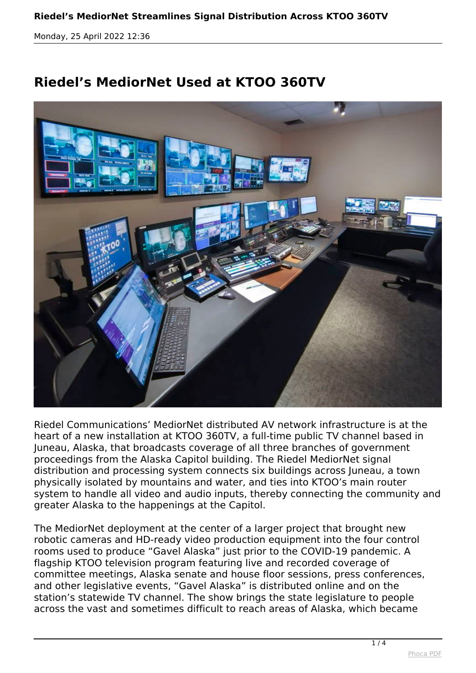## **Riedel's MediorNet Used at KTOO 360TV**



*Riedel Communications' MediorNet distributed AV network infrastructure is at the heart of a new installation at KTOO 360TV, a full-time public TV channel based in Juneau, Alaska, that broadcasts coverage of all three branches of government proceedings from the Alaska Capitol building. The Riedel MediorNet signal distribution and processing system connects six buildings across Juneau, a town physically isolated by mountains and water, and ties into KTOO's main router system to handle all video and audio inputs, thereby connecting the community and greater Alaska to the happenings at the Capitol.*

*The MediorNet deployment at the center of a larger project that brought new robotic cameras and HD-ready video production equipment into the four control rooms used to produce "Gavel Alaska" just prior to the COVID-19 pandemic. A flagship KTOO television program featuring live and recorded coverage of committee meetings, Alaska senate and house floor sessions, press conferences, and other legislative events, "Gavel Alaska" is distributed online and on the station's statewide TV channel. The show brings the state legislature to people across the vast and sometimes difficult to reach areas of Alaska, which became*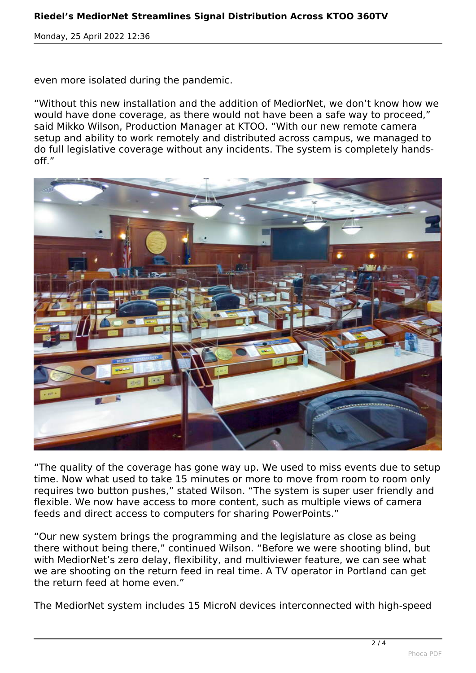*even more isolated during the pandemic.*

*"Without this new installation and the addition of MediorNet, we don't know how we would have done coverage, as there would not have been a safe way to proceed," said Mikko Wilson, Production Manager at KTOO. "With our new remote camera setup and ability to work remotely and distributed across campus, we managed to do full legislative coverage without any incidents. The system is completely handsoff."*



*"The quality of the coverage has gone way up. We used to miss events due to setup time. Now what used to take 15 minutes or more to move from room to room only requires two button pushes," stated Wilson. "The system is super user friendly and flexible. We now have access to more content, such as multiple views of camera feeds and direct access to computers for sharing PowerPoints."* 

*"Our new system brings the programming and the legislature as close as being there without being there," continued Wilson. "Before we were shooting blind, but with MediorNet's zero delay, flexibility, and multiviewer feature, we can see what we are shooting on the return feed in real time. A TV operator in Portland can get the return feed at home even."*

*The MediorNet system includes 15 MicroN devices interconnected with high-speed*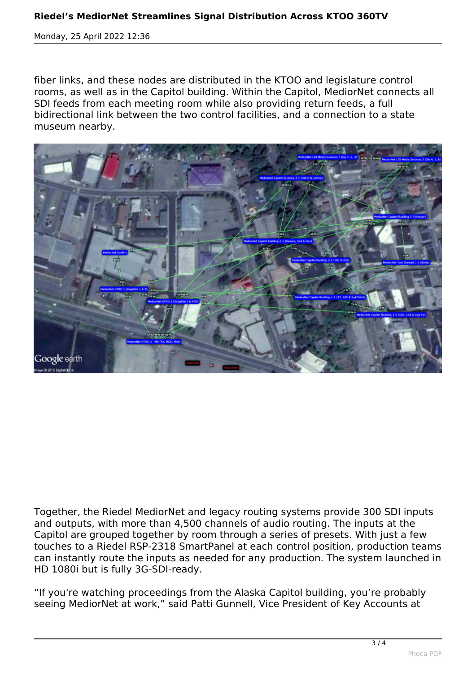*fiber links, and these nodes are distributed in the KTOO and legislature control rooms, as well as in the Capitol building. Within the Capitol, MediorNet connects all SDI feeds from each meeting room while also providing return feeds, a full bidirectional link between the two control facilities, and a connection to a state museum nearby.*



*Together, the Riedel MediorNet and legacy routing systems provide 300 SDI inputs and outputs, with more than 4,500 channels of audio routing. The inputs at the Capitol are grouped together by room through a series of presets. With just a few touches to a Riedel RSP-2318 SmartPanel at each control position, production teams can instantly route the inputs as needed for any production. The system launched in HD 1080i but is fully 3G-SDI-ready.*

*"If you're watching proceedings from the Alaska Capitol building, you're probably seeing MediorNet at work," said Patti Gunnell, Vice President of Key Accounts at*